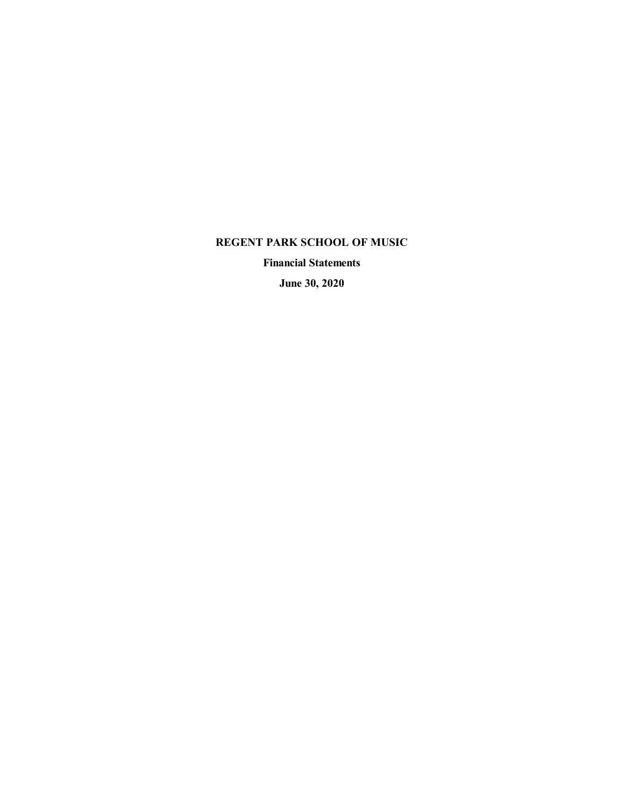**Financial Statements**

**June 30, 2020**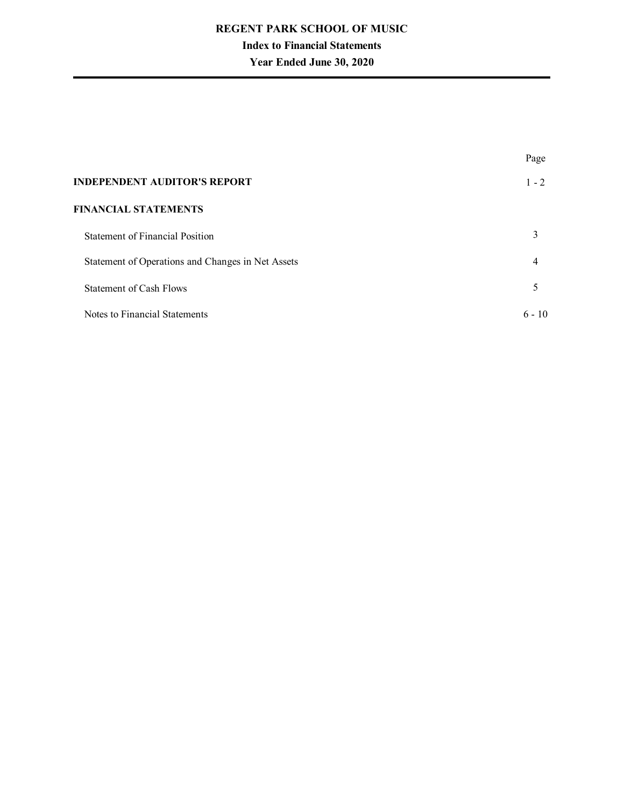# **REGENT PARK SCHOOL OF MUSIC Index to Financial Statements Year Ended June 30, 2020**

|                                                   | Page     |
|---------------------------------------------------|----------|
| <b>INDEPENDENT AUDITOR'S REPORT</b>               | $1 - 2$  |
| <b>FINANCIAL STATEMENTS</b>                       |          |
| <b>Statement of Financial Position</b>            | 3        |
| Statement of Operations and Changes in Net Assets | 4        |
| Statement of Cash Flows                           |          |
| Notes to Financial Statements                     | $6 - 10$ |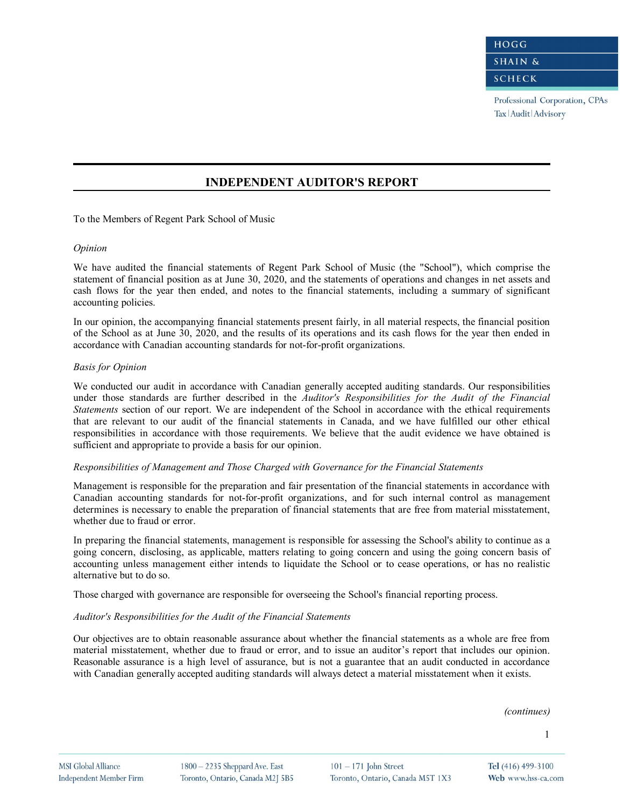Professional Corporation, CPAs Tax | Audit | Advisory

# **INDEPENDENT AUDITOR'S REPORT**

To the Members of Regent Park School of Music

### *Opinion*

We have audited the financial statements of Regent Park School of Music (the "School"), which comprise the statement of financial position as at June 30, 2020, and the statements of operations and changes in net assets and cash flows for the year then ended, and notes to the financial statements, including a summary of significant accounting policies.

In our opinion, the accompanying financial statements present fairly, in all material respects, the financial position of the School as at June 30, 2020, and the results of its operations and its cash flows for the year then ended in accordance with Canadian accounting standards for not-for-profit organizations.

### *Basis for Opinion*

We conducted our audit in accordance with Canadian generally accepted auditing standards. Our responsibilities under those standards are further described in the *Auditor's Responsibilities for the Audit of the Financial Statements* section of our report. We are independent of the School in accordance with the ethical requirements that are relevant to our audit of the financial statements in Canada, and we have fulfilled our other ethical responsibilities in accordance with those requirements. We believe that the audit evidence we have obtained is sufficient and appropriate to provide a basis for our opinion.

### *Responsibilities of Management and Those Charged with Governance for the Financial Statements*

Management is responsible for the preparation and fair presentation of the financial statements in accordance with Canadian accounting standards for not-for-profit organizations, and for such internal control as management determines is necessary to enable the preparation of financial statements that are free from material misstatement, whether due to fraud or error.

In preparing the financial statements, management is responsible for assessing the School's ability to continue as a going concern, disclosing, as applicable, matters relating to going concern and using the going concern basis of accounting unless management either intends to liquidate the School or to cease operations, or has no realistic alternative but to do so.

Those charged with governance are responsible for overseeing the School's financial reporting process.

### *Auditor's Responsibilities for the Audit of the Financial Statements*

Our objectives are to obtain reasonable assurance about whether the financial statements as a whole are free from material misstatement, whether due to fraud or error, and to issue an auditor's report that includes our opinion. Reasonable assurance is a high level of assurance, but is not a guarantee that an audit conducted in accordance with Canadian generally accepted auditing standards will always detect a material misstatement when it exists.

*(continues)*

1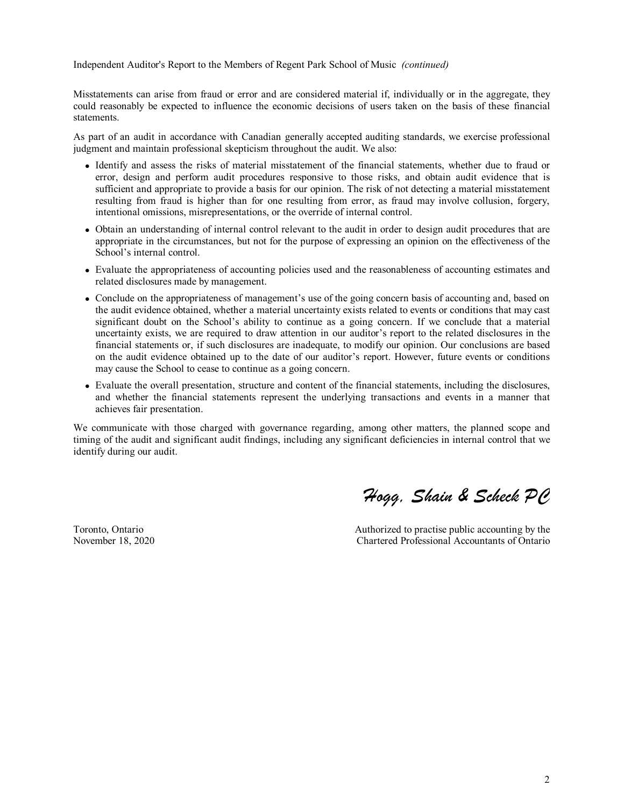Independent Auditor's Report to the Members of Regent Park School of Music *(continued)*

Misstatements can arise from fraud or error and are considered material if, individually or in the aggregate, they could reasonably be expected to influence the economic decisions of users taken on the basis of these financial statements.

As part of an audit in accordance with Canadian generally accepted auditing standards, we exercise professional judgment and maintain professional skepticism throughout the audit. We also:

- <sup>l</sup> Identify and assess the risks of material misstatement of the financial statements, whether due to fraud or error, design and perform audit procedures responsive to those risks, and obtain audit evidence that is sufficient and appropriate to provide a basis for our opinion. The risk of not detecting a material misstatement resulting from fraud is higher than for one resulting from error, as fraud may involve collusion, forgery, intentional omissions, misrepresentations, or the override of internal control.
- Obtain an understanding of internal control relevant to the audit in order to design audit procedures that are appropriate in the circumstances, but not for the purpose of expressing an opinion on the effectiveness of the School's internal control.
- <sup>l</sup> Evaluate the appropriateness of accounting policies used and the reasonableness of accounting estimates and related disclosures made by management.
- Conclude on the appropriateness of management's use of the going concern basis of accounting and, based on the audit evidence obtained, whether a material uncertainty exists related to events or conditions that may cast significant doubt on the School's ability to continue as a going concern. If we conclude that a material uncertainty exists, we are required to draw attention in our auditor's report to the related disclosures in the financial statements or, if such disclosures are inadequate, to modify our opinion. Our conclusions are based on the audit evidence obtained up to the date of our auditor's report. However, future events or conditions may cause the School to cease to continue as a going concern.
- <sup>l</sup> Evaluate the overall presentation, structure and content of the financial statements, including the disclosures, and whether the financial statements represent the underlying transactions and events in a manner that achieves fair presentation.

We communicate with those charged with governance regarding, among other matters, the planned scope and timing of the audit and significant audit findings, including any significant deficiencies in internal control that we identify during our audit.

Toronto, Ontario November 18, 2020 *Hogg, Shain & Scheck PC*

Authorized to practise public accounting by the Chartered Professional Accountants of Ontario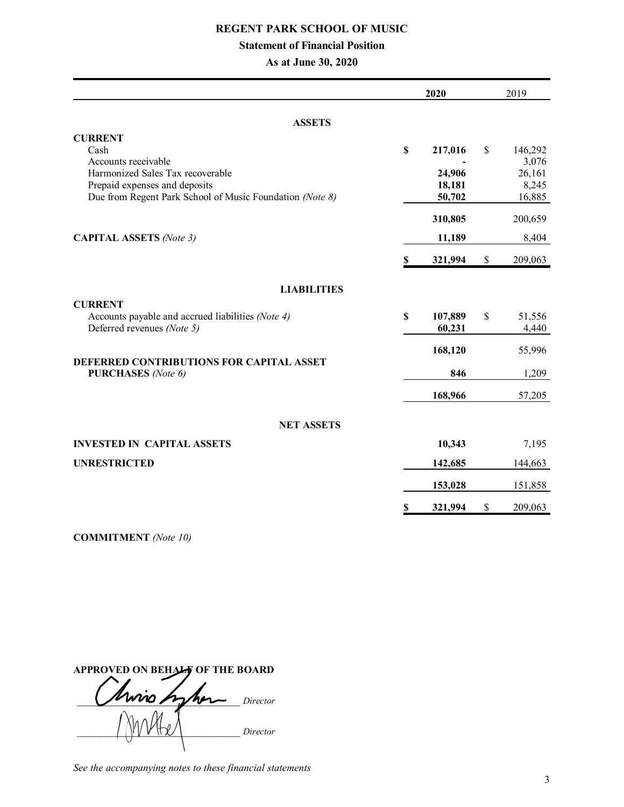## **Statement of Financial Position**

**As at June 30, 2020**

|                                                          | 2020          |               | 2019    |
|----------------------------------------------------------|---------------|---------------|---------|
| <b>ASSETS</b>                                            |               |               |         |
| <b>CURRENT</b>                                           |               |               |         |
| Cash                                                     | \$<br>217,016 | $\mathcal{S}$ | 146,292 |
| Accounts receivable                                      |               |               | 3,076   |
| Harmonized Sales Tax recoverable                         | 24,906        |               | 26,161  |
| Prepaid expenses and deposits                            | 18,181        |               | 8,245   |
| Due from Regent Park School of Music Foundation (Note 8) | 50,702        |               | 16,885  |
|                                                          | 310,805       |               | 200,659 |
| <b>CAPITAL ASSETS</b> (Note 3)                           | 11,189        |               | 8,404   |
|                                                          | \$<br>321,994 | \$            | 209,063 |
|                                                          |               |               |         |
| <b>LIABILITIES</b>                                       |               |               |         |
| <b>CURRENT</b>                                           |               |               |         |
| Accounts payable and accrued liabilities (Note 4)        | \$<br>107,889 | $\mathcal{S}$ | 51,556  |
| Deferred revenues (Note 5)                               | 60,231        |               | 4,440   |
|                                                          | 168,120       |               | 55,996  |
| DEFERRED CONTRIBUTIONS FOR CAPITAL ASSET                 |               |               |         |
| <b>PURCHASES</b> (Note 6)                                | 846           |               | 1,209   |
|                                                          | 168,966       |               | 57,205  |
|                                                          |               |               |         |
| <b>NET ASSETS</b>                                        |               |               |         |
| <b>INVESTED IN CAPITAL ASSETS</b>                        | 10,343        |               | 7,195   |
| <b>UNRESTRICTED</b>                                      | 142,685       |               | 144,663 |
|                                                          | 153,028       |               | 151,858 |
|                                                          | \$<br>321,994 | \$            | 209,063 |
|                                                          |               |               |         |

**COMMITMENT** *(Note 10)*

**APPROVED ON BEHALF OF THE BOARD**

\_\_\_\_\_\_\_\_\_\_\_\_\_\_\_\_\_\_\_\_\_\_\_\_\_\_\_\_\_ *Director* \_\_\_\_\_\_\_\_\_\_\_\_\_\_\_\_\_\_\_\_\_\_\_\_\_\_\_\_\_ *Director*

*See the accompanying notes to these financial statements*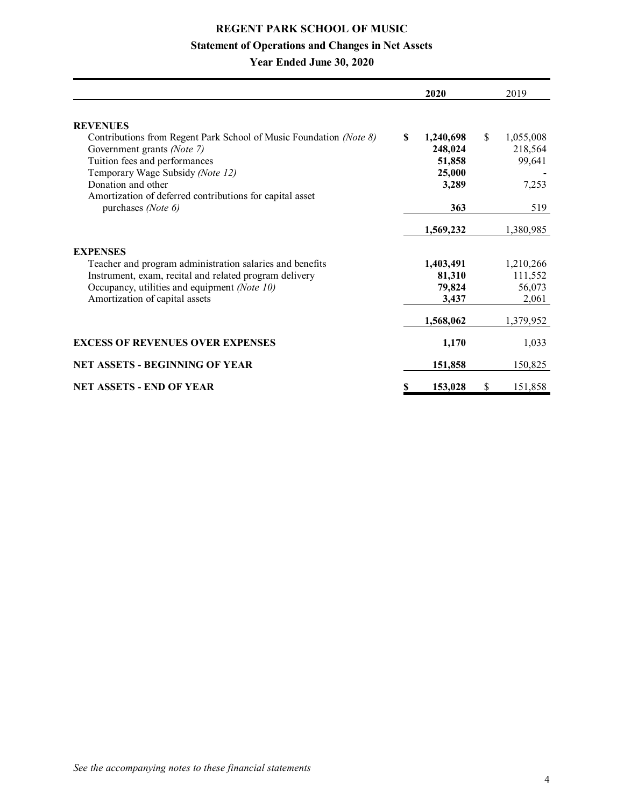## **Statement of Operations and Changes in Net Assets**

**Year Ended June 30, 2020**

|                                                                    |             | 2020      |              | 2019      |
|--------------------------------------------------------------------|-------------|-----------|--------------|-----------|
| <b>REVENUES</b>                                                    |             |           |              |           |
| Contributions from Regent Park School of Music Foundation (Note 8) | $\mathbf S$ | 1,240,698 | $\mathbb{S}$ | 1,055,008 |
| Government grants (Note 7)                                         |             | 248,024   |              | 218,564   |
| Tuition fees and performances                                      |             | 51,858    |              | 99,641    |
| Temporary Wage Subsidy (Note 12)                                   |             | 25,000    |              |           |
| Donation and other                                                 |             | 3,289     |              | 7,253     |
| Amortization of deferred contributions for capital asset           |             |           |              |           |
| purchases (Note 6)                                                 |             | 363       |              | 519       |
|                                                                    |             |           |              |           |
|                                                                    |             | 1,569,232 |              | 1,380,985 |
| <b>EXPENSES</b>                                                    |             |           |              |           |
| Teacher and program administration salaries and benefits           |             | 1,403,491 |              | 1,210,266 |
| Instrument, exam, recital and related program delivery             |             | 81,310    |              | 111,552   |
| Occupancy, utilities and equipment (Note 10)                       |             | 79,824    |              | 56,073    |
| Amortization of capital assets                                     |             | 3,437     |              | 2,061     |
|                                                                    |             | 1,568,062 |              | 1,379,952 |
|                                                                    |             |           |              |           |
| <b>EXCESS OF REVENUES OVER EXPENSES</b>                            |             | 1,170     |              | 1,033     |
| <b>NET ASSETS - BEGINNING OF YEAR</b>                              |             | 151,858   |              | 150,825   |
| <b>NET ASSETS - END OF YEAR</b>                                    | S           | 153,028   | \$           | 151,858   |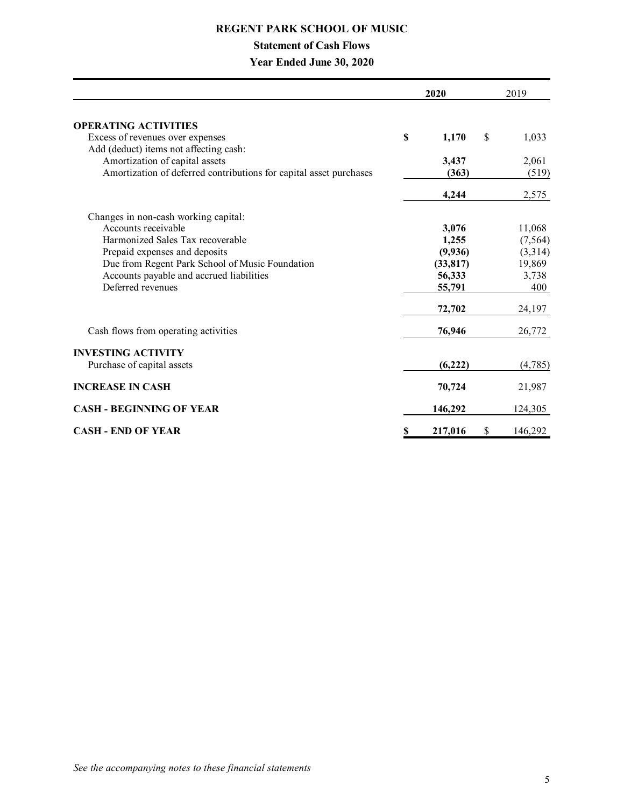# **Statement of Cash Flows**

**Year Ended June 30, 2020**

|                                                                    | 2020 |           | 2019 |          |
|--------------------------------------------------------------------|------|-----------|------|----------|
| <b>OPERATING ACTIVITIES</b>                                        |      |           |      |          |
| Excess of revenues over expenses                                   | \$   | 1,170     | \$   | 1,033    |
| Add (deduct) items not affecting cash:                             |      |           |      |          |
| Amortization of capital assets                                     |      | 3,437     |      | 2,061    |
| Amortization of deferred contributions for capital asset purchases |      | (363)     |      | (519)    |
|                                                                    |      | 4,244     |      | 2,575    |
| Changes in non-cash working capital:                               |      |           |      |          |
| Accounts receivable                                                |      | 3,076     |      | 11,068   |
| Harmonized Sales Tax recoverable                                   |      | 1,255     |      | (7, 564) |
| Prepaid expenses and deposits                                      |      | (9,936)   |      | (3,314)  |
| Due from Regent Park School of Music Foundation                    |      | (33, 817) |      | 19,869   |
| Accounts payable and accrued liabilities                           |      | 56,333    |      | 3,738    |
| Deferred revenues                                                  |      | 55,791    |      | 400      |
|                                                                    |      | 72,702    |      | 24,197   |
| Cash flows from operating activities                               |      | 76,946    |      | 26,772   |
| <b>INVESTING ACTIVITY</b>                                          |      |           |      |          |
| Purchase of capital assets                                         |      | (6, 222)  |      | (4,785)  |
| <b>INCREASE IN CASH</b>                                            |      | 70,724    |      | 21,987   |
| <b>CASH - BEGINNING OF YEAR</b>                                    |      | 146,292   |      | 124,305  |
| <b>CASH - END OF YEAR</b>                                          | \$   | 217,016   | \$   | 146,292  |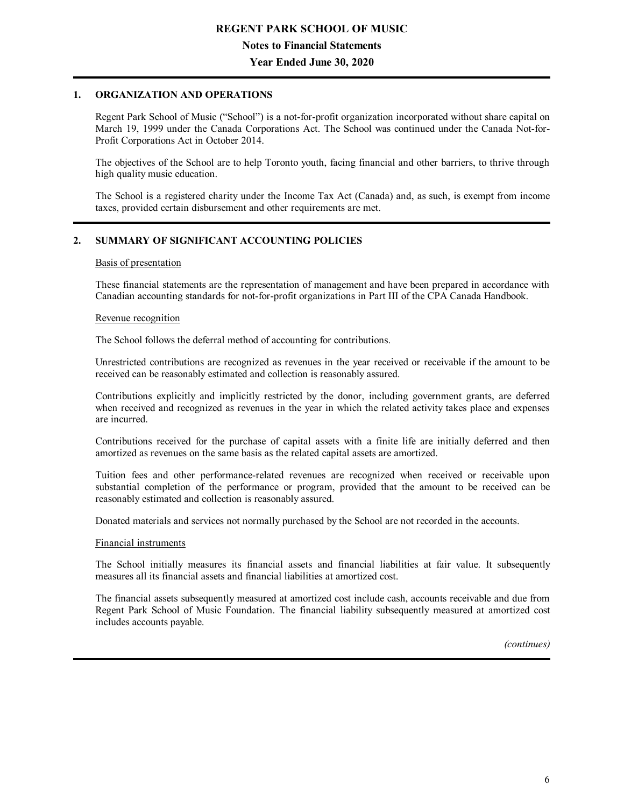### **Year Ended June 30, 2020**

### **1. ORGANIZATION AND OPERATIONS**

Regent Park School of Music ("School") is a not-for-profit organization incorporated without share capital on March 19, 1999 under the Canada Corporations Act. The School was continued under the Canada Not-for-Profit Corporations Act in October 2014.

The objectives of the School are to help Toronto youth, facing financial and other barriers, to thrive through high quality music education.

The School is a registered charity under the Income Tax Act (Canada) and, as such, is exempt from income taxes, provided certain disbursement and other requirements are met.

#### **2. SUMMARY OF SIGNIFICANT ACCOUNTING POLICIES**

#### Basis of presentation

These financial statements are the representation of management and have been prepared in accordance with Canadian accounting standards for not-for-profit organizations in Part III of the CPA Canada Handbook.

#### Revenue recognition

The School follows the deferral method of accounting for contributions.

Unrestricted contributions are recognized as revenues in the year received or receivable if the amount to be received can be reasonably estimated and collection is reasonably assured.

Contributions explicitly and implicitly restricted by the donor, including government grants, are deferred when received and recognized as revenues in the year in which the related activity takes place and expenses are incurred.

Contributions received for the purchase of capital assets with a finite life are initially deferred and then amortized as revenues on the same basis as the related capital assets are amortized.

Tuition fees and other performance-related revenues are recognized when received or receivable upon substantial completion of the performance or program, provided that the amount to be received can be reasonably estimated and collection is reasonably assured.

Donated materials and services not normally purchased by the School are not recorded in the accounts.

#### Financial instruments

The School initially measures its financial assets and financial liabilities at fair value. It subsequently measures all its financial assets and financial liabilities at amortized cost.

The financial assets subsequently measured at amortized cost include cash, accounts receivable and due from Regent Park School of Music Foundation. The financial liability subsequently measured at amortized cost includes accounts payable.

*(continues)*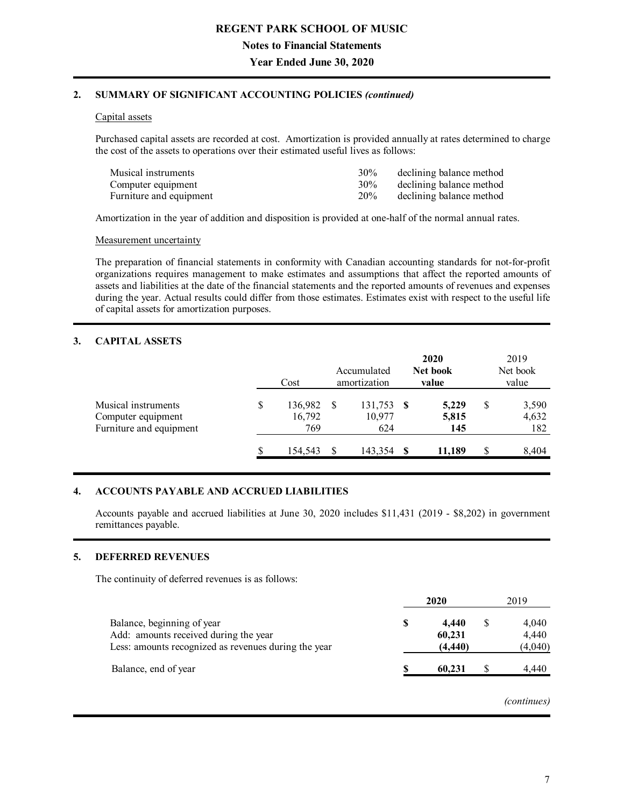### **Year Ended June 30, 2020**

### **2. SUMMARY OF SIGNIFICANT ACCOUNTING POLICIES** *(continued)*

### Capital assets

Purchased capital assets are recorded at cost. Amortization is provided annually at rates determined to charge the cost of the assets to operations over their estimated useful lives as follows:

| Musical instruments     | $30\%$     | declining balance method |
|-------------------------|------------|--------------------------|
| Computer equipment      | 30%        | declining balance method |
| Furniture and equipment | <b>20%</b> | declining balance method |

Amortization in the year of addition and disposition is provided at one-half of the normal annual rates.

#### Measurement uncertainty

The preparation of financial statements in conformity with Canadian accounting standards for not-for-profit organizations requires management to make estimates and assumptions that affect the reported amounts of assets and liabilities at the date of the financial statements and the reported amounts of revenues and expenses during the year. Actual results could differ from those estimates. Estimates exist with respect to the useful life of capital assets for amortization purposes.

### **3. CAPITAL ASSETS**

|                                                                      |   | Cost                     |              | Accumulated<br>amortization |     | 2020<br>Net book<br>value |    | 2019<br>Net book<br>value |
|----------------------------------------------------------------------|---|--------------------------|--------------|-----------------------------|-----|---------------------------|----|---------------------------|
| Musical instruments<br>Computer equipment<br>Furniture and equipment | S | 136,982<br>16,792<br>769 | <sup>S</sup> | 131,753<br>10,977<br>624    |     | 5,229<br>5,815<br>145     | \$ | 3,590<br>4,632<br>182     |
|                                                                      |   | 154,543                  |              | 143,354                     | - S | 11,189                    | S  | 8,404                     |

### **4. ACCOUNTS PAYABLE AND ACCRUED LIABILITIES**

Accounts payable and accrued liabilities at June 30, 2020 includes \$11,431 (2019 - \$8,202) in government remittances payable.

### **5. DEFERRED REVENUES**

The continuity of deferred revenues is as follows:

|                                                                                                                             | 2020                        | 2019                      |
|-----------------------------------------------------------------------------------------------------------------------------|-----------------------------|---------------------------|
| Balance, beginning of year<br>Add: amounts received during the year<br>Less: amounts recognized as revenues during the year | 4.440<br>60,231<br>(4, 440) | 4,040<br>4,440<br>(4,040) |
| Balance, end of year                                                                                                        | 60,231                      | 4,440                     |
|                                                                                                                             |                             |                           |

*(continues)*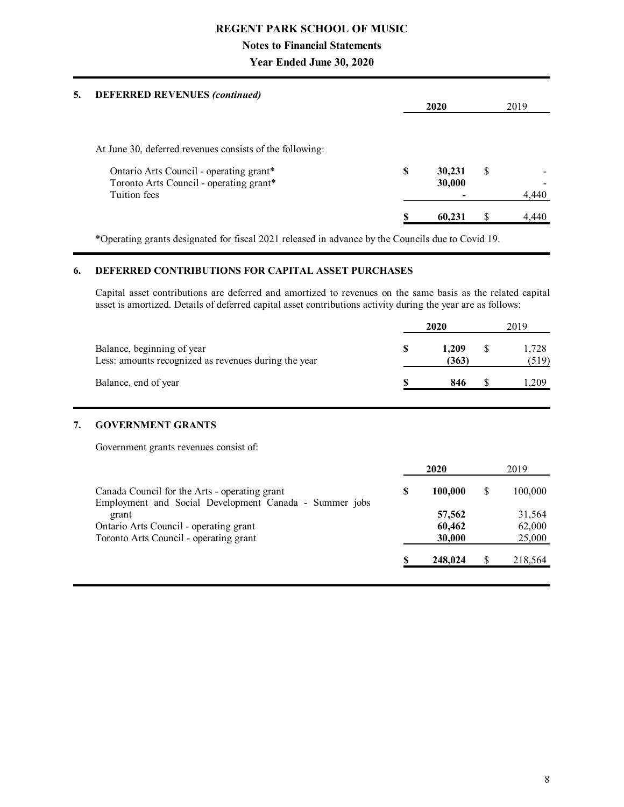# **Notes to Financial Statements**

**Year Ended June 30, 2020**

| 5. | <b>DEFERRED REVENUES (continued)</b>                                                               |    |                  |   |       |
|----|----------------------------------------------------------------------------------------------------|----|------------------|---|-------|
|    |                                                                                                    |    | 2020             |   | 2019  |
|    | At June 30, deferred revenues consists of the following:                                           |    |                  |   |       |
|    | Ontario Arts Council - operating grant*<br>Toronto Arts Council - operating grant*<br>Tuition fees | S  | 30,231<br>30,000 | S | 4,440 |
|    |                                                                                                    | \$ | 60,231           | S | 4,440 |

\*Operating grants designated for fiscal 2021 released in advance by the Councils due to Covid 19.

### **6. DEFERRED CONTRIBUTIONS FOR CAPITAL ASSET PURCHASES**

Capital asset contributions are deferred and amortized to revenues on the same basis as the related capital asset is amortized. Details of deferred capital asset contributions activity during the year are as follows:

|                                                                                    | <b>2020</b>    |   | 2019           |
|------------------------------------------------------------------------------------|----------------|---|----------------|
| Balance, beginning of year<br>Less: amounts recognized as revenues during the year | 1.209<br>(363) | S | 1.728<br>(519) |
| Balance, end of year                                                               | 846            |   | .209           |

### **7. GOVERNMENT GRANTS**

Government grants revenues consist of:

|                                                                                                         |   | 2020    |   | 2019    |
|---------------------------------------------------------------------------------------------------------|---|---------|---|---------|
| Canada Council for the Arts - operating grant<br>Employment and Social Development Canada - Summer jobs | S | 100.000 | S | 100,000 |
| grant                                                                                                   |   | 57,562  |   | 31,564  |
| Ontario Arts Council - operating grant                                                                  |   | 60,462  |   | 62,000  |
| Toronto Arts Council - operating grant                                                                  |   | 30,000  |   | 25,000  |
|                                                                                                         |   | 248,024 | S | 218,564 |
|                                                                                                         |   |         |   |         |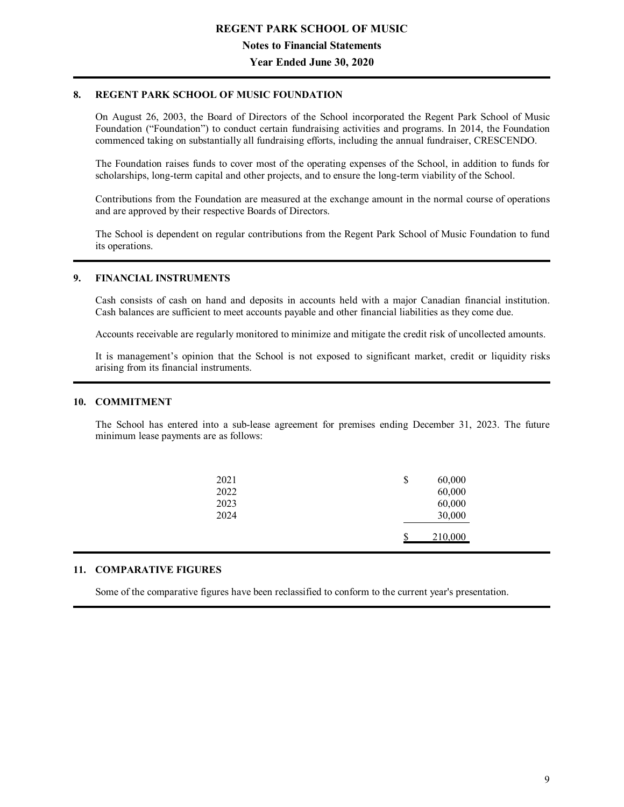**Year Ended June 30, 2020**

## **8. REGENT PARK SCHOOL OF MUSIC FOUNDATION**

On August 26, 2003, the Board of Directors of the School incorporated the Regent Park School of Music Foundation ("Foundation") to conduct certain fundraising activities and programs. In 2014, the Foundation commenced taking on substantially all fundraising efforts, including the annual fundraiser, CRESCENDO.

The Foundation raises funds to cover most of the operating expenses of the School, in addition to funds for scholarships, long-term capital and other projects, and to ensure the long-term viability of the School.

Contributions from the Foundation are measured at the exchange amount in the normal course of operations and are approved by their respective Boards of Directors.

The School is dependent on regular contributions from the Regent Park School of Music Foundation to fund its operations.

#### **9. FINANCIAL INSTRUMENTS**

Cash consists of cash on hand and deposits in accounts held with a major Canadian financial institution. Cash balances are sufficient to meet accounts payable and other financial liabilities as they come due.

Accounts receivable are regularly monitored to minimize and mitigate the credit risk of uncollected amounts.

It is management's opinion that the School is not exposed to significant market, credit or liquidity risks arising from its financial instruments.

#### **10. COMMITMENT**

The School has entered into a sub-lease agreement for premises ending December 31, 2023. The future minimum lease payments are as follows:

| 2021 | \$<br>60,000 |
|------|--------------|
| 2022 | 60,000       |
| 2023 | 60,000       |
| 2024 | 30,000       |
|      |              |
|      | 210,000      |

### **11. COMPARATIVE FIGURES**

Some of the comparative figures have been reclassified to conform to the current year's presentation.